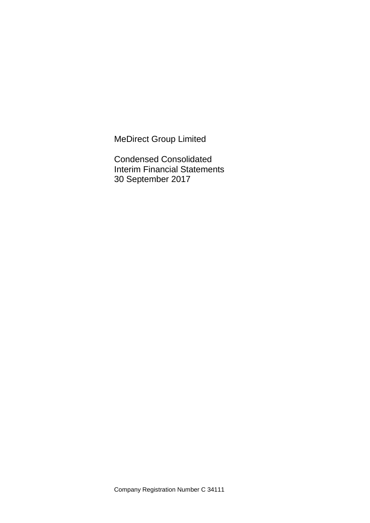MeDirect Group Limited

Condensed Consolidated Interim Financial Statements 30 September 2017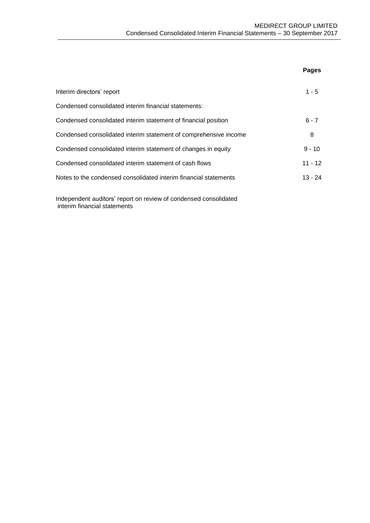|                                                                  | <b>Pages</b> |
|------------------------------------------------------------------|--------------|
| Interim directors' report                                        | $1 - 5$      |
| Condensed consolidated interim financial statements:             |              |
| Condensed consolidated interim statement of financial position   | $6 - 7$      |
| Condensed consolidated interim statement of comprehensive income | 8            |
| Condensed consolidated interim statement of changes in equity    | $9 - 10$     |
| Condensed consolidated interim statement of cash flows           | $11 - 12$    |
| Notes to the condensed consolidated interim financial statements | $13 - 24$    |
|                                                                  |              |

Independent auditors' report on review of condensed consolidated interim financial statements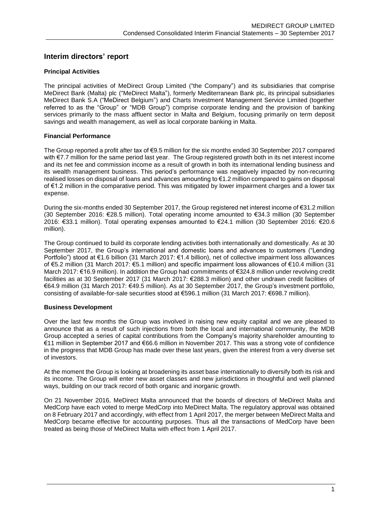# **Interim directors' report**

## **Principal Activities**

The principal activities of MeDirect Group Limited ("the Company") and its subsidiaries that comprise MeDirect Bank (Malta) plc ("MeDirect Malta"), formerly Mediterranean Bank plc, its principal subsidiaries MeDirect Bank S.A ("MeDirect Belgium") and Charts Investment Management Service Limited (together referred to as the "Group" or "MDB Group") comprise corporate lending and the provision of banking services primarily to the mass affluent sector in Malta and Belgium, focusing primarily on term deposit savings and wealth management, as well as local corporate banking in Malta.

## **Financial Performance**

The Group reported a profit after tax of €9.5 million for the six months ended 30 September 2017 compared with €7.7 million for the same period last year. The Group registered growth both in its net interest income and its net fee and commission income as a result of growth in both its international lending business and its wealth management business. This period's performance was negatively impacted by non-recurring realised losses on disposal of loans and advances amounting to €1.2 million compared to gains on disposal of €1.2 million in the comparative period. This was mitigated by lower impairment charges and a lower tax expense.

During the six-months ended 30 September 2017, the Group registered net interest income of €31.2 million (30 September 2016: €28.5 million). Total operating income amounted to €34.3 million (30 September 2016: €33.1 million). Total operating expenses amounted to €24.1 million (30 September 2016: €20.6 million).

The Group continued to build its corporate lending activities both internationally and domestically. As at 30 September 2017, the Group's international and domestic loans and advances to customers ("Lending Portfolio") stood at €1.6 billion (31 March 2017: €1.4 billion), net of collective impairment loss allowances of €5.2 million (31 March 2017: €5.1 million) and specific impairment loss allowances of €10.4 million (31 March 2017: €16.9 million). In addition the Group had commitments of €324.8 million under revolving credit facilities as at 30 September 2017 (31 March 2017: €288.3 million) and other undrawn credit facilities of €64.9 million (31 March 2017: €49.5 million). As at 30 September 2017, the Group's investment portfolio, consisting of available-for-sale securities stood at €596.1 million (31 March 2017: €698.7 million).

## **Business Development**

Over the last few months the Group was involved in raising new equity capital and we are pleased to announce that as a result of such injections from both the local and international community, the MDB Group accepted a series of capital contributions from the Company's majority shareholder amounting to €11 million in September 2017 and €66.6 million in November 2017. This was a strong vote of confidence in the progress that MDB Group has made over these last years, given the interest from a very diverse set of investors.

At the moment the Group is looking at broadening its asset base internationally to diversify both its risk and its income. The Group will enter new asset classes and new jurisdictions in thoughtful and well planned ways, building on our track record of both organic and inorganic growth.

On 21 November 2016, MeDirect Malta announced that the boards of directors of MeDirect Malta and MedCorp have each voted to merge MedCorp into MeDirect Malta. The regulatory approval was obtained on 8 February 2017 and accordingly, with effect from 1 April 2017, the merger between MeDirect Malta and MedCorp became effective for accounting purposes. Thus all the transactions of MedCorp have been treated as being those of MeDirect Malta with effect from 1 April 2017.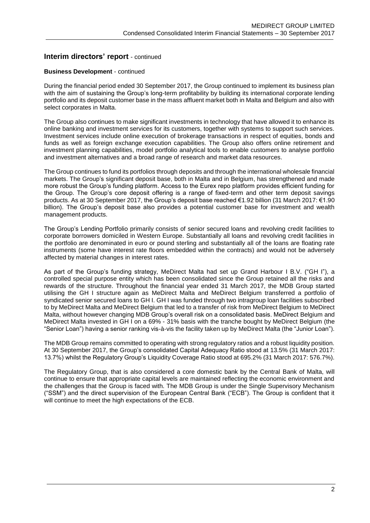## **Business Development** - continued

During the financial period ended 30 September 2017, the Group continued to implement its business plan with the aim of sustaining the Group's long-term profitability by building its international corporate lending portfolio and its deposit customer base in the mass affluent market both in Malta and Belgium and also with select corporates in Malta.

The Group also continues to make significant investments in technology that have allowed it to enhance its online banking and investment services for its customers, together with systems to support such services. Investment services include online execution of brokerage transactions in respect of equities, bonds and funds as well as foreign exchange execution capabilities. The Group also offers online retirement and investment planning capabilities, model portfolio analytical tools to enable customers to analyse portfolio and investment alternatives and a broad range of research and market data resources.

The Group continues to fund its portfolios through deposits and through the international wholesale financial markets. The Group's significant deposit base, both in Malta and in Belgium, has strengthened and made more robust the Group's funding platform. Access to the Eurex repo platform provides efficient funding for the Group. The Group's core deposit offering is a range of fixed-term and other term deposit savings products. As at 30 September 2017, the Group's deposit base reached €1.92 billion (31 March 2017: €1.90 billion). The Group's deposit base also provides a potential customer base for investment and wealth management products.

The Group's Lending Portfolio primarily consists of senior secured loans and revolving credit facilities to corporate borrowers domiciled in Western Europe. Substantially all loans and revolving credit facilities in the portfolio are denominated in euro or pound sterling and substantially all of the loans are floating rate instruments (some have interest rate floors embedded within the contracts) and would not be adversely affected by material changes in interest rates.

As part of the Group's funding strategy, MeDirect Malta had set up Grand Harbour I B.V. ("GH I"), a controlled special purpose entity which has been consolidated since the Group retained all the risks and rewards of the structure. Throughout the financial year ended 31 March 2017, the MDB Group started utilising the GH I structure again as MeDirect Malta and MeDirect Belgium transferred a portfolio of syndicated senior secured loans to GH I. GH I was funded through two intragroup loan facilities subscribed to by MeDirect Malta and MeDirect Belgium that led to a transfer of risk from MeDirect Belgium to MeDirect Malta, without however changing MDB Group's overall risk on a consolidated basis. MeDirect Belgium and MeDirect Malta invested in GH I on a 69% - 31% basis with the tranche bought by MeDirect Belgium (the "Senior Loan") having a senior ranking vis-à-vis the facility taken up by MeDirect Malta (the "Junior Loan").

The MDB Group remains committed to operating with strong regulatory ratios and a robust liquidity position. At 30 September 2017, the Group's consolidated Capital Adequacy Ratio stood at 13.5% (31 March 2017: 13.7%) whilst the Regulatory Group's Liquidity Coverage Ratio stood at 695.2% (31 March 2017: 576.7%).

The Regulatory Group, that is also considered a core domestic bank by the Central Bank of Malta, will continue to ensure that appropriate capital levels are maintained reflecting the economic environment and the challenges that the Group is faced with. The MDB Group is under the Single Supervisory Mechanism ("SSM") and the direct supervision of the European Central Bank ("ECB"). The Group is confident that it will continue to meet the high expectations of the ECB.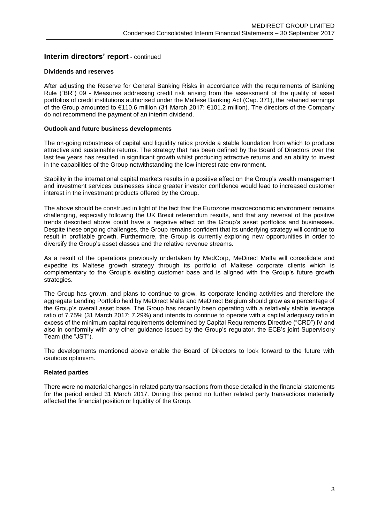## **Dividends and reserves**

After adjusting the Reserve for General Banking Risks in accordance with the requirements of Banking Rule ("BR") 09 - Measures addressing credit risk arising from the assessment of the quality of asset portfolios of credit institutions authorised under the Maltese Banking Act (Cap. 371), the retained earnings of the Group amounted to €110.6 million (31 March 2017: €101.2 million). The directors of the Company do not recommend the payment of an interim dividend.

## **Outlook and future business developments**

The on-going robustness of capital and liquidity ratios provide a stable foundation from which to produce attractive and sustainable returns. The strategy that has been defined by the Board of Directors over the last few years has resulted in significant growth whilst producing attractive returns and an ability to invest in the capabilities of the Group notwithstanding the low interest rate environment.

Stability in the international capital markets results in a positive effect on the Group's wealth management and investment services businesses since greater investor confidence would lead to increased customer interest in the investment products offered by the Group.

The above should be construed in light of the fact that the Eurozone macroeconomic environment remains challenging, especially following the UK Brexit referendum results, and that any reversal of the positive trends described above could have a negative effect on the Group's asset portfolios and businesses. Despite these ongoing challenges, the Group remains confident that its underlying strategy will continue to result in profitable growth. Furthermore, the Group is currently exploring new opportunities in order to diversify the Group's asset classes and the relative revenue streams.

As a result of the operations previously undertaken by MedCorp, MeDirect Malta will consolidate and expedite its Maltese growth strategy through its portfolio of Maltese corporate clients which is complementary to the Group's existing customer base and is aligned with the Group's future growth strategies.

The Group has grown, and plans to continue to grow, its corporate lending activities and therefore the aggregate Lending Portfolio held by MeDirect Malta and MeDirect Belgium should grow as a percentage of the Group's overall asset base. The Group has recently been operating with a relatively stable leverage ratio of 7.75% (31 March 2017: 7.29%) and intends to continue to operate with a capital adequacy ratio in excess of the minimum capital requirements determined by Capital Requirements Directive ("CRD") IV and also in conformity with any other guidance issued by the Group's regulator, the ECB's joint Supervisory Team (the "JST").

The developments mentioned above enable the Board of Directors to look forward to the future with cautious optimism.

## **Related parties**

There were no material changes in related party transactions from those detailed in the financial statements for the period ended 31 March 2017. During this period no further related party transactions materially affected the financial position or liquidity of the Group.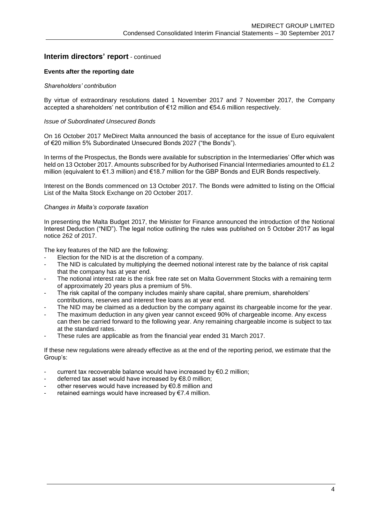## **Events after the reporting date**

## *Shareholders' contribution*

By virtue of extraordinary resolutions dated 1 November 2017 and 7 November 2017, the Company accepted a shareholders' net contribution of €12 million and €54.6 million respectively.

## *Issue of Subordinated Unsecured Bonds*

On 16 October 2017 MeDirect Malta announced the basis of acceptance for the issue of Euro equivalent of €20 million 5% Subordinated Unsecured Bonds 2027 ("the Bonds").

In terms of the Prospectus, the Bonds were available for subscription in the Intermediaries' Offer which was held on 13 October 2017. Amounts subscribed for by Authorised Financial Intermediaries amounted to £1.2 million (equivalent to €1.3 million) and €18.7 million for the GBP Bonds and EUR Bonds respectively.

Interest on the Bonds commenced on 13 October 2017. The Bonds were admitted to listing on the Official List of the Malta Stock Exchange on 20 October 2017.

## *Changes in Malta's corporate taxation*

In presenting the Malta Budget 2017, the Minister for Finance announced the introduction of the Notional Interest Deduction ("NID"). The legal notice outlining the rules was published on 5 October 2017 as legal notice 262 of 2017.

The key features of the NID are the following:

- Election for the NID is at the discretion of a company.
- The NID is calculated by multiplying the deemed notional interest rate by the balance of risk capital that the company has at year end.
- The notional interest rate is the risk free rate set on Malta Government Stocks with a remaining term of approximately 20 years plus a premium of 5%.
- The risk capital of the company includes mainly share capital, share premium, shareholders' contributions, reserves and interest free loans as at year end.
- The NID may be claimed as a deduction by the company against its chargeable income for the year.
- The maximum deduction in any given year cannot exceed 90% of chargeable income. Any excess can then be carried forward to the following year. Any remaining chargeable income is subject to tax at the standard rates.
- These rules are applicable as from the financial year ended 31 March 2017.

If these new regulations were already effective as at the end of the reporting period, we estimate that the Group's:

- current tax recoverable balance would have increased by  $\epsilon$ 0.2 million;
- deferred tax asset would have increased by  $€8.0$  million;
- other reserves would have increased by  $€0.8$  million and
- retained earnings would have increased by  $E$ 7.4 million.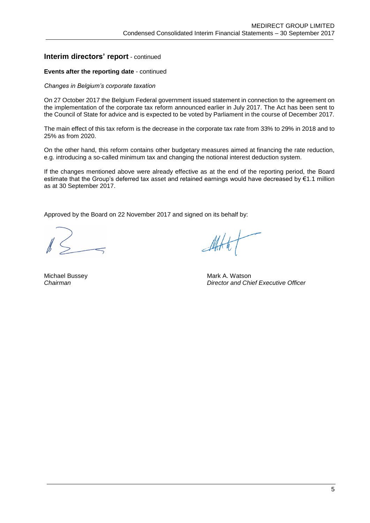## **Events after the reporting date** - continued

#### *Changes in Belgium's corporate taxation*

On 27 October 2017 the Belgium Federal government issued statement in connection to the agreement on the implementation of the corporate tax reform announced earlier in July 2017. The Act has been sent to the Council of State for advice and is expected to be voted by Parliament in the course of December 2017.

The main effect of this tax reform is the decrease in the corporate tax rate from 33% to 29% in 2018 and to 25% as from 2020.

On the other hand, this reform contains other budgetary measures aimed at financing the rate reduction, e.g. introducing a so-called minimum tax and changing the notional interest deduction system.

If the changes mentioned above were already effective as at the end of the reporting period, the Board estimate that the Group's deferred tax asset and retained earnings would have decreased by  $\epsilon$ 1.1 million as at 30 September 2017.

Approved by the Board on 22 November 2017 and signed on its behalf by:

Michael Bussey **Michael Bussey Strategy A. Watson**<br>Chairman Mark A. Watson *Chairman Director and Chief Executive Officer*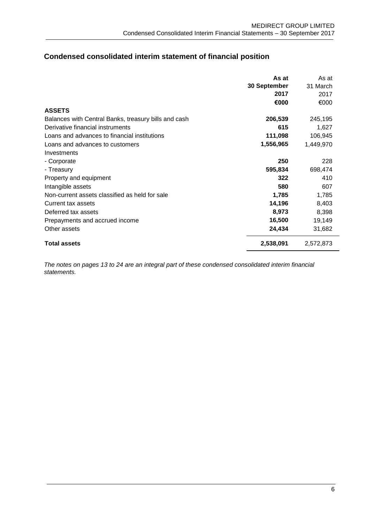# **Condensed consolidated interim statement of financial position**

|                                                      | As at        | As at     |
|------------------------------------------------------|--------------|-----------|
|                                                      | 30 September | 31 March  |
|                                                      | 2017         | 2017      |
|                                                      | €000         | €000      |
| <b>ASSETS</b>                                        |              |           |
| Balances with Central Banks, treasury bills and cash | 206,539      | 245,195   |
| Derivative financial instruments                     | 615          | 1,627     |
| Loans and advances to financial institutions         | 111,098      | 106,945   |
| Loans and advances to customers                      | 1,556,965    | 1,449,970 |
| Investments                                          |              |           |
| - Corporate                                          | 250          | 228       |
| - Treasury                                           | 595,834      | 698,474   |
| Property and equipment                               | 322          | 410       |
| Intangible assets                                    | 580          | 607       |
| Non-current assets classified as held for sale       | 1,785        | 1,785     |
| Current tax assets                                   | 14,196       | 8,403     |
| Deferred tax assets                                  | 8,973        | 8,398     |
| Prepayments and accrued income                       | 16,500       | 19,149    |
| Other assets                                         | 24,434       | 31,682    |
| <b>Total assets</b>                                  | 2,538,091    | 2,572,873 |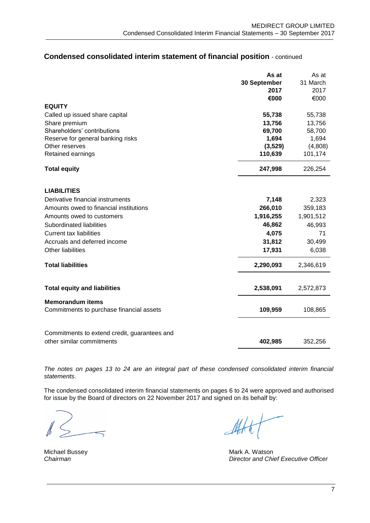# **Condensed consolidated interim statement of financial position** - continued

|                                              | As at        | As at     |
|----------------------------------------------|--------------|-----------|
|                                              | 30 September | 31 March  |
|                                              | 2017         | 2017      |
|                                              | €000         | €000      |
| <b>EQUITY</b>                                |              |           |
| Called up issued share capital               | 55,738       | 55,738    |
| Share premium                                | 13,756       | 13,756    |
| Shareholders' contributions                  | 69,700       | 58,700    |
| Reserve for general banking risks            | 1,694        | 1,694     |
| Other reserves                               | (3, 529)     | (4,808)   |
| Retained earnings                            | 110,639      | 101,174   |
| <b>Total equity</b>                          | 247,998      | 226,254   |
| <b>LIABILITIES</b>                           |              |           |
| Derivative financial instruments             | 7,148        | 2,323     |
| Amounts owed to financial institutions       | 266,010      | 359,183   |
| Amounts owed to customers                    | 1,916,255    | 1,901,512 |
| Subordinated liabilities                     | 46,862       | 46,993    |
| <b>Current tax liabilities</b>               | 4,075        | 71        |
| Accruals and deferred income                 | 31,812       | 30,499    |
| Other liabilities                            | 17,931       | 6,038     |
| <b>Total liabilities</b>                     | 2,290,093    | 2,346,619 |
| <b>Total equity and liabilities</b>          | 2,538,091    | 2,572,873 |
| <b>Memorandum items</b>                      |              |           |
| Commitments to purchase financial assets     | 109,959      | 108,865   |
| Commitments to extend credit, guarantees and |              |           |
| other similar commitments                    | 402,985      | 352,256   |

*The notes on pages 13 to 24 are an integral part of these condensed consolidated interim financial statements.*

The condensed consolidated interim financial statements on pages 6 to 24 were approved and authorised for issue by the Board of directors on 22 November 2017 and signed on its behalf by:

Michael Bussey **Michael Bussey** Mark A. Watson<br>
Chairman **Chairman** *Chairman Director and Chief Executive Officer*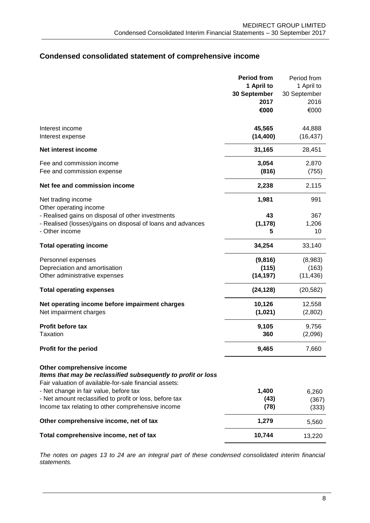# **Condensed consolidated statement of comprehensive income**

|                                                                                                                                                       | <b>Period from</b> | Period from  |
|-------------------------------------------------------------------------------------------------------------------------------------------------------|--------------------|--------------|
|                                                                                                                                                       | 1 April to         | 1 April to   |
|                                                                                                                                                       | 30 September       | 30 September |
|                                                                                                                                                       | 2017               | 2016         |
|                                                                                                                                                       | €000               | €000         |
| Interest income                                                                                                                                       | 45,565             | 44,888       |
| Interest expense                                                                                                                                      | (14, 400)          | (16, 437)    |
| Net interest income                                                                                                                                   | 31,165             | 28,451       |
| Fee and commission income                                                                                                                             | 3,054              | 2,870        |
| Fee and commission expense                                                                                                                            | (816)              | (755)        |
| Net fee and commission income                                                                                                                         | 2,238              | 2,115        |
| Net trading income<br>Other operating income                                                                                                          | 1,981              | 991          |
| - Realised gains on disposal of other investments                                                                                                     | 43                 | 367          |
| - Realised (losses)/gains on disposal of loans and advances                                                                                           | (1, 178)           | 1,206        |
| - Other income                                                                                                                                        | 5                  | 10           |
| <b>Total operating income</b>                                                                                                                         | 34,254             | 33,140       |
| Personnel expenses                                                                                                                                    | (9,816)            | (8,983)      |
| Depreciation and amortisation                                                                                                                         | (115)              | (163)        |
| Other administrative expenses                                                                                                                         | (14, 197)          | (11, 436)    |
| <b>Total operating expenses</b>                                                                                                                       | (24, 128)          | (20, 582)    |
| Net operating income before impairment charges                                                                                                        | 10,126             | 12,558       |
| Net impairment charges                                                                                                                                | (1,021)            | (2,802)      |
| Profit before tax                                                                                                                                     | 9,105              | 9,756        |
| <b>Taxation</b>                                                                                                                                       | 360                | (2,096)      |
| Profit for the period                                                                                                                                 | 9,465              | 7,660        |
| Other comprehensive income<br>Items that may be reclassified subsequently to profit or loss<br>Fair valuation of available-for-sale financial assets: |                    |              |
| - Net change in fair value, before tax                                                                                                                | 1,400              | 6,260        |
| - Net amount reclassified to profit or loss, before tax                                                                                               | (43)               | (367)        |
| Income tax relating to other comprehensive income                                                                                                     | (78)               | (333)        |
| Other comprehensive income, net of tax                                                                                                                | 1,279              | 5,560        |
| Total comprehensive income, net of tax                                                                                                                | 10,744             | 13,220       |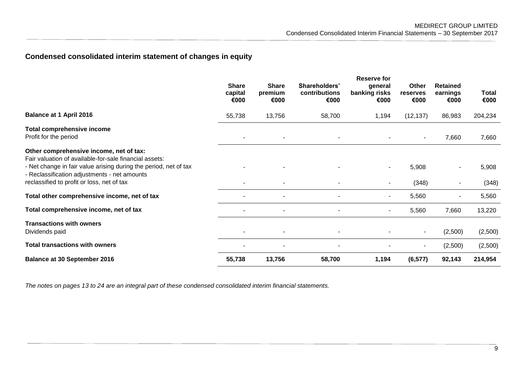# **Condensed consolidated interim statement of changes in equity**

|                                                                                                                                                                                                                       | <b>Share</b><br>capital<br>€000 | <b>Share</b><br>premium<br>€000 | Shareholders'<br>contributions<br>€000 | Reserve for<br>general<br>banking risks<br>€000 | Other<br><b>reserves</b><br>€000 | <b>Retained</b><br>earnings<br>€000 | Total<br>€000 |
|-----------------------------------------------------------------------------------------------------------------------------------------------------------------------------------------------------------------------|---------------------------------|---------------------------------|----------------------------------------|-------------------------------------------------|----------------------------------|-------------------------------------|---------------|
| <b>Balance at 1 April 2016</b>                                                                                                                                                                                        | 55,738                          | 13,756                          | 58,700                                 | 1,194                                           | (12, 137)                        | 86,983                              | 204,234       |
| <b>Total comprehensive income</b><br>Profit for the period                                                                                                                                                            | $\overline{\phantom{a}}$        |                                 |                                        |                                                 |                                  | 7,660                               | 7,660         |
| Other comprehensive income, net of tax:<br>Fair valuation of available-for-sale financial assets:<br>- Net change in fair value arising during the period, net of tax<br>- Reclassification adjustments - net amounts |                                 |                                 |                                        | $\blacksquare$                                  | 5,908                            | $\blacksquare$                      | 5,908         |
| reclassified to profit or loss, net of tax                                                                                                                                                                            |                                 |                                 |                                        | $\blacksquare$                                  | (348)                            |                                     | (348)         |
| Total other comprehensive income, net of tax                                                                                                                                                                          | $\overline{\phantom{a}}$        | $\blacksquare$                  | $\blacksquare$                         | $\blacksquare$                                  | 5,560                            | $\overline{\phantom{a}}$            | 5,560         |
| Total comprehensive income, net of tax                                                                                                                                                                                | $\blacksquare$                  |                                 |                                        | $\blacksquare$                                  | 5,560                            | 7,660                               | 13,220        |
| <b>Transactions with owners</b><br>Dividends paid                                                                                                                                                                     | $\overline{\phantom{a}}$        | $\overline{\phantom{a}}$        |                                        |                                                 | $\overline{\phantom{a}}$         | (2,500)                             | (2,500)       |
| <b>Total transactions with owners</b>                                                                                                                                                                                 |                                 |                                 |                                        |                                                 |                                  | (2,500)                             | (2,500)       |
| <b>Balance at 30 September 2016</b>                                                                                                                                                                                   | 55,738                          | 13,756                          | 58,700                                 | 1,194                                           | (6, 577)                         | 92,143                              | 214,954       |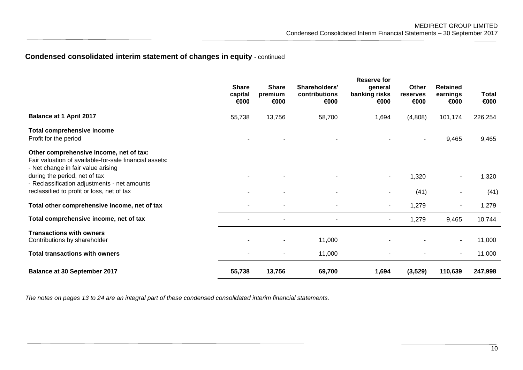# **Condensed consolidated interim statement of changes in equity** - continued

|                                                                                                                                                                                                                          | <b>Share</b><br>capital<br>€000 | <b>Share</b><br>premium<br>€000 | Shareholders'<br>contributions<br>€000 | Reserve for<br>general<br>banking risks<br>€000 | <b>Other</b><br>reserves<br>€000 | <b>Retained</b><br>earnings<br>€000 | <b>Total</b><br>€000 |
|--------------------------------------------------------------------------------------------------------------------------------------------------------------------------------------------------------------------------|---------------------------------|---------------------------------|----------------------------------------|-------------------------------------------------|----------------------------------|-------------------------------------|----------------------|
| <b>Balance at 1 April 2017</b>                                                                                                                                                                                           | 55,738                          | 13,756                          | 58,700                                 | 1,694                                           | (4,808)                          | 101,174                             | 226,254              |
| <b>Total comprehensive income</b><br>Profit for the period                                                                                                                                                               | $\sim$                          | $\sim$                          | $\sim$                                 | $\sim$                                          | $\blacksquare$                   | 9,465                               | 9,465                |
| Other comprehensive income, net of tax:<br>Fair valuation of available-for-sale financial assets:<br>- Net change in fair value arising<br>during the period, net of tax<br>- Reclassification adjustments - net amounts |                                 |                                 |                                        | $\blacksquare$                                  | 1,320                            |                                     | 1,320                |
| reclassified to profit or loss, net of tax                                                                                                                                                                               | $\blacksquare$                  |                                 |                                        | $\blacksquare$                                  | (41)                             |                                     | (41)                 |
| Total other comprehensive income, net of tax                                                                                                                                                                             | ٠                               |                                 |                                        | $\overline{\phantom{a}}$                        | 1,279                            |                                     | 1,279                |
| Total comprehensive income, net of tax                                                                                                                                                                                   | $\blacksquare$                  |                                 |                                        | $\blacksquare$                                  | 1,279                            | 9,465                               | 10,744               |
| <b>Transactions with owners</b><br>Contributions by shareholder                                                                                                                                                          |                                 |                                 | 11,000                                 |                                                 |                                  | $\blacksquare$                      | 11,000               |
| <b>Total transactions with owners</b>                                                                                                                                                                                    | ٠                               |                                 | 11,000                                 |                                                 |                                  | ٠                                   | 11,000               |
| <b>Balance at 30 September 2017</b>                                                                                                                                                                                      | 55,738                          | 13,756                          | 69,700                                 | 1,694                                           | (3, 529)                         | 110,639                             | 247,998              |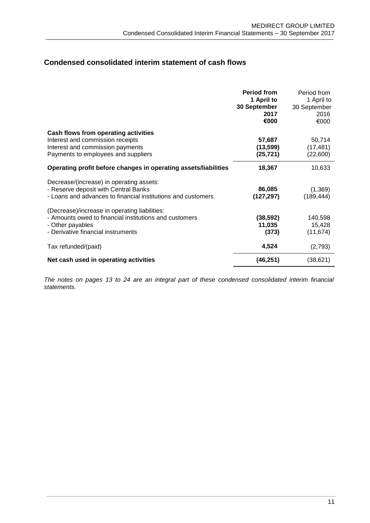# **Condensed consolidated interim statement of cash flows**

|                                                                 | <b>Period from</b><br>1 April to<br>30 September<br>2017<br>€000 | Period from<br>1 April to<br>30 September<br>2016<br>€000 |
|-----------------------------------------------------------------|------------------------------------------------------------------|-----------------------------------------------------------|
| Cash flows from operating activities                            |                                                                  |                                                           |
| Interest and commission receipts                                | 57,687                                                           | 50,714                                                    |
| Interest and commission payments                                | (13, 599)                                                        | (17, 481)                                                 |
| Payments to employees and suppliers                             | (25, 721)                                                        | (22,600)                                                  |
| Operating profit before changes in operating assets/liabilities | 18,367                                                           | 10,633                                                    |
| Decrease/(increase) in operating assets:                        |                                                                  |                                                           |
| - Reserve deposit with Central Banks                            | 86,085                                                           | (1,369)                                                   |
| - Loans and advances to financial institutions and customers    | (127, 297)                                                       | (189, 444)                                                |
| (Decrease)/increase in operating liabilities:                   |                                                                  |                                                           |
| - Amounts owed to financial institutions and customers          | (38, 592)                                                        | 140,598                                                   |
| - Other payables                                                | 11,035                                                           | 15,428                                                    |
| - Derivative financial instruments                              | (373)                                                            | (11, 674)                                                 |
| Tax refunded/(paid)                                             | 4,524                                                            | (2,793)                                                   |
| Net cash used in operating activities                           | (46, 251)                                                        | (38,621)                                                  |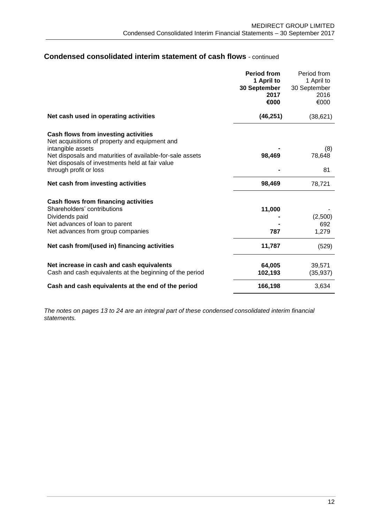## **Condensed consolidated interim statement of cash flows** - continued

|                                                                                                              | <b>Period from</b><br>1 April to | Period from<br>1 April to |
|--------------------------------------------------------------------------------------------------------------|----------------------------------|---------------------------|
|                                                                                                              | 30 September                     | 30 September              |
|                                                                                                              | 2017                             | 2016                      |
|                                                                                                              | €000                             | €000                      |
| Net cash used in operating activities                                                                        | (46, 251)                        | (38,621)                  |
| Cash flows from investing activities                                                                         |                                  |                           |
| Net acquisitions of property and equipment and<br>intangible assets                                          |                                  | (8)                       |
| Net disposals and maturities of available-for-sale assets<br>Net disposals of investments held at fair value | 98,469                           | 78,648                    |
| through profit or loss                                                                                       |                                  | 81                        |
| Net cash from investing activities                                                                           | 98,469                           | 78,721                    |
| Cash flows from financing activities                                                                         |                                  |                           |
| Shareholders' contributions                                                                                  | 11,000                           |                           |
| Dividends paid                                                                                               |                                  | (2,500)                   |
| Net advances of loan to parent                                                                               |                                  | 692                       |
| Net advances from group companies                                                                            | 787                              | 1,279                     |
| Net cash from/(used in) financing activities                                                                 | 11,787                           | (529)                     |
| Net increase in cash and cash equivalents                                                                    | 64,005                           | 39,571                    |
| Cash and cash equivalents at the beginning of the period                                                     | 102,193                          | (35, 937)                 |
| Cash and cash equivalents at the end of the period                                                           | 166,198                          | 3,634                     |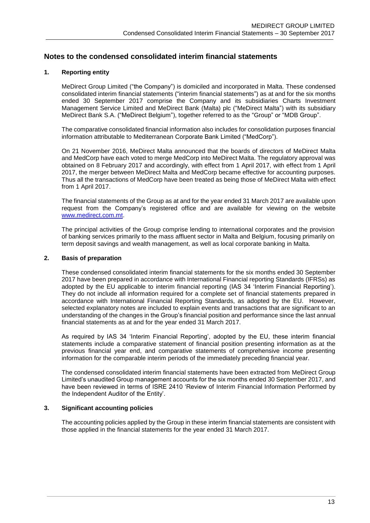## **Notes to the condensed consolidated interim financial statements**

## **1. Reporting entity**

MeDirect Group Limited ("the Company") is domiciled and incorporated in Malta. These condensed consolidated interim financial statements ("interim financial statements") as at and for the six months ended 30 September 2017 comprise the Company and its subsidiaries Charts Investment Management Service Limited and MeDirect Bank (Malta) plc ("MeDirect Malta") with its subsidiary MeDirect Bank S.A. ("MeDirect Belgium"), together referred to as the "Group" or "MDB Group".

The comparative consolidated financial information also includes for consolidation purposes financial information attributable to Mediterranean Corporate Bank Limited ("MedCorp").

On 21 November 2016, MeDirect Malta announced that the boards of directors of MeDirect Malta and MedCorp have each voted to merge MedCorp into MeDirect Malta. The regulatory approval was obtained on 8 February 2017 and accordingly, with effect from 1 April 2017, with effect from 1 April 2017, the merger between MeDirect Malta and MedCorp became effective for accounting purposes. Thus all the transactions of MedCorp have been treated as being those of MeDirect Malta with effect from 1 April 2017.

The financial statements of the Group as at and for the year ended 31 March 2017 are available upon request from the Company's registered office and are available for viewing on the website [www.medirect.com.mt.](http://www.medirect.com.mt/)

The principal activities of the Group comprise lending to international corporates and the provision of banking services primarily to the mass affluent sector in Malta and Belgium, focusing primarily on term deposit savings and wealth management, as well as local corporate banking in Malta.

## **2. Basis of preparation**

These condensed consolidated interim financial statements for the six months ended 30 September 2017 have been prepared in accordance with International Financial reporting Standards (IFRSs) as adopted by the EU applicable to interim financial reporting (IAS 34 'Interim Financial Reporting'). They do not include all information required for a complete set of financial statements prepared in accordance with International Financial Reporting Standards, as adopted by the EU. However, selected explanatory notes are included to explain events and transactions that are significant to an understanding of the changes in the Group's financial position and performance since the last annual financial statements as at and for the year ended 31 March 2017.

As required by IAS 34 'Interim Financial Reporting', adopted by the EU, these interim financial statements include a comparative statement of financial position presenting information as at the previous financial year end, and comparative statements of comprehensive income presenting information for the comparable interim periods of the immediately preceding financial year.

The condensed consolidated interim financial statements have been extracted from MeDirect Group Limited's unaudited Group management accounts for the six months ended 30 September 2017, and have been reviewed in terms of ISRE 2410 'Review of Interim Financial Information Performed by the Independent Auditor of the Entity'.

## **3. Significant accounting policies**

The accounting policies applied by the Group in these interim financial statements are consistent with those applied in the financial statements for the year ended 31 March 2017.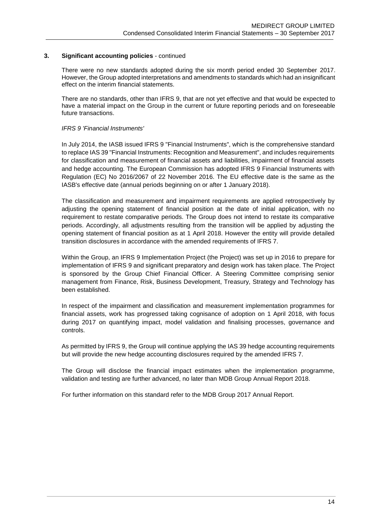## **3. Significant accounting policies** - continued

There were no new standards adopted during the six month period ended 30 September 2017. However, the Group adopted interpretations and amendments to standards which had an insignificant effect on the interim financial statements.

There are no standards, other than IFRS 9, that are not yet effective and that would be expected to have a material impact on the Group in the current or future reporting periods and on foreseeable future transactions.

## *IFRS 9 'Financial Instruments'*

In July 2014, the IASB issued IFRS 9 "Financial Instruments", which is the comprehensive standard to replace IAS 39 "Financial Instruments: Recognition and Measurement", and includes requirements for classification and measurement of financial assets and liabilities, impairment of financial assets and hedge accounting. The European Commission has adopted IFRS 9 Financial Instruments with Regulation (EC) No 2016/2067 of 22 November 2016. The EU effective date is the same as the IASB's effective date (annual periods beginning on or after 1 January 2018).

The classification and measurement and impairment requirements are applied retrospectively by adjusting the opening statement of financial position at the date of initial application, with no requirement to restate comparative periods. The Group does not intend to restate its comparative periods. Accordingly, all adjustments resulting from the transition will be applied by adjusting the opening statement of financial position as at 1 April 2018. However the entity will provide detailed transition disclosures in accordance with the amended requirements of IFRS 7.

Within the Group, an IFRS 9 Implementation Project (the Project) was set up in 2016 to prepare for implementation of IFRS 9 and significant preparatory and design work has taken place. The Project is sponsored by the Group Chief Financial Officer. A Steering Committee comprising senior management from Finance, Risk, Business Development, Treasury, Strategy and Technology has been established.

In respect of the impairment and classification and measurement implementation programmes for financial assets, work has progressed taking cognisance of adoption on 1 April 2018, with focus during 2017 on quantifying impact, model validation and finalising processes, governance and controls.

As permitted by IFRS 9, the Group will continue applying the IAS 39 hedge accounting requirements but will provide the new hedge accounting disclosures required by the amended IFRS 7.

The Group will disclose the financial impact estimates when the implementation programme, validation and testing are further advanced, no later than MDB Group Annual Report 2018.

For further information on this standard refer to the MDB Group 2017 Annual Report.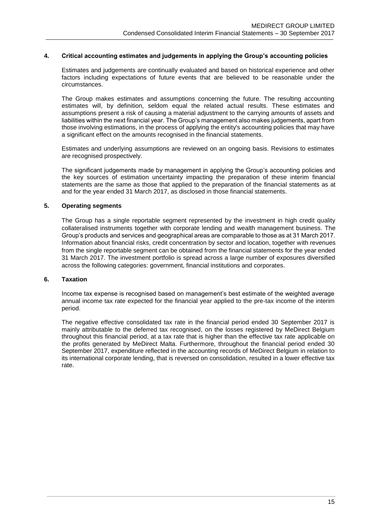## **4. Critical accounting estimates and judgements in applying the Group's accounting policies**

Estimates and judgements are continually evaluated and based on historical experience and other factors including expectations of future events that are believed to be reasonable under the circumstances.

The Group makes estimates and assumptions concerning the future. The resulting accounting estimates will, by definition, seldom equal the related actual results. These estimates and assumptions present a risk of causing a material adjustment to the carrying amounts of assets and liabilities within the next financial year. The Group's management also makes judgements, apart from those involving estimations, in the process of applying the entity's accounting policies that may have a significant effect on the amounts recognised in the financial statements.

Estimates and underlying assumptions are reviewed on an ongoing basis. Revisions to estimates are recognised prospectively.

The significant judgements made by management in applying the Group's accounting policies and the key sources of estimation uncertainty impacting the preparation of these interim financial statements are the same as those that applied to the preparation of the financial statements as at and for the year ended 31 March 2017, as disclosed in those financial statements.

## **5. Operating segments**

The Group has a single reportable segment represented by the investment in high credit quality collateralised instruments together with corporate lending and wealth management business. The Group's products and services and geographical areas are comparable to those as at 31 March 2017. Information about financial risks, credit concentration by sector and location, together with revenues from the single reportable segment can be obtained from the financial statements for the year ended 31 March 2017. The investment portfolio is spread across a large number of exposures diversified across the following categories: government, financial institutions and corporates.

## **6. Taxation**

Income tax expense is recognised based on management's best estimate of the weighted average annual income tax rate expected for the financial year applied to the pre-tax income of the interim period.

The negative effective consolidated tax rate in the financial period ended 30 September 2017 is mainly attributable to the deferred tax recognised, on the losses registered by MeDirect Belgium throughout this financial period, at a tax rate that is higher than the effective tax rate applicable on the profits generated by MeDirect Malta. Furthermore, throughout the financial period ended 30 September 2017, expenditure reflected in the accounting records of MeDirect Belgium in relation to its international corporate lending, that is reversed on consolidation, resulted in a lower effective tax rate.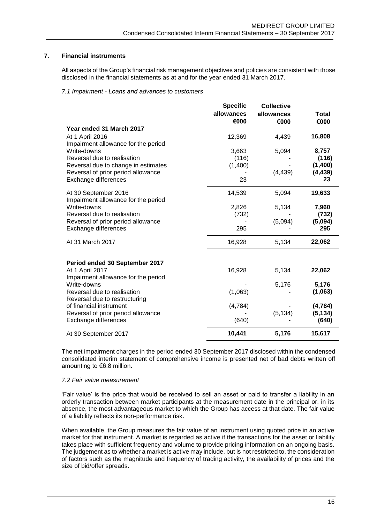## **7. Financial instruments**

All aspects of the Group's financial risk management objectives and policies are consistent with those disclosed in the financial statements as at and for the year ended 31 March 2017.

*7.1 Impairment - Loans and advances to customers*

|                                                        | <b>Specific</b> | <b>Collective</b> |          |
|--------------------------------------------------------|-----------------|-------------------|----------|
|                                                        | allowances      | allowances        | Total    |
| Year ended 31 March 2017                               | €000            | €000              | €000     |
| At 1 April 2016                                        | 12,369          | 4,439             | 16,808   |
| Impairment allowance for the period                    |                 |                   |          |
| Write-downs                                            | 3,663           | 5,094             | 8,757    |
| Reversal due to realisation                            | (116)           |                   | (116)    |
| Reversal due to change in estimates                    | (1,400)         |                   | (1,400)  |
| Reversal of prior period allowance                     |                 | (4, 439)          | (4, 439) |
| Exchange differences                                   | 23              |                   | 23       |
| At 30 September 2016                                   | 14,539          | 5,094             | 19,633   |
| Impairment allowance for the period                    |                 |                   |          |
| Write-downs                                            | 2,826           | 5,134             | 7,960    |
| Reversal due to realisation                            | (732)           |                   | (732)    |
| Reversal of prior period allowance                     |                 | (5,094)           | (5,094)  |
| Exchange differences                                   | 295             |                   | 295      |
| At 31 March 2017                                       | 16,928          | 5,134             | 22,062   |
|                                                        |                 |                   |          |
| Period ended 30 September 2017                         | 16,928          | 5,134             | 22,062   |
| At 1 April 2017<br>Impairment allowance for the period |                 |                   |          |
| Write-downs                                            |                 | 5,176             | 5,176    |
| Reversal due to realisation                            | (1,063)         |                   | (1,063)  |
| Reversal due to restructuring                          |                 |                   |          |
| of financial instrument                                | (4,784)         |                   | (4, 784) |
| Reversal of prior period allowance                     |                 | (5, 134)          | (5, 134) |
| Exchange differences                                   | (640)           |                   | (640)    |
| At 30 September 2017                                   | 10,441          | 5,176             | 15,617   |

The net impairment charges in the period ended 30 September 2017 disclosed within the condensed consolidated interim statement of comprehensive income is presented net of bad debts written off amounting to €6.8 million.

## *7.2 Fair value measurement*

'Fair value' is the price that would be received to sell an asset or paid to transfer a liability in an orderly transaction between market participants at the measurement date in the principal or, in its absence, the most advantageous market to which the Group has access at that date. The fair value of a liability reflects its non-performance risk.

When available, the Group measures the fair value of an instrument using quoted price in an active market for that instrument. A market is regarded as active if the transactions for the asset or liability takes place with sufficient frequency and volume to provide pricing information on an ongoing basis. The judgement as to whether a market is active may include, but is not restricted to, the consideration of factors such as the magnitude and frequency of trading activity, the availability of prices and the size of bid/offer spreads.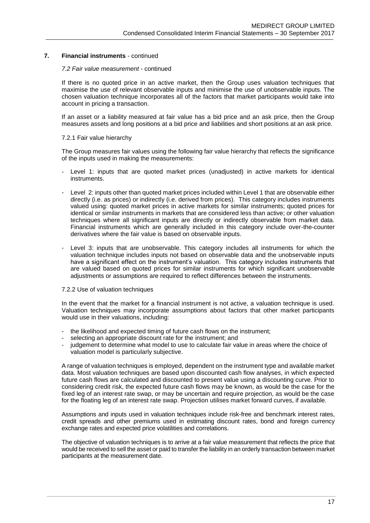#### *7.2 Fair value measurement* - continued

If there is no quoted price in an active market, then the Group uses valuation techniques that maximise the use of relevant observable inputs and minimise the use of unobservable inputs. The chosen valuation technique incorporates all of the factors that market participants would take into account in pricing a transaction.

If an asset or a liability measured at fair value has a bid price and an ask price, then the Group measures assets and long positions at a bid price and liabilities and short positions at an ask price.

#### 7.2.1 Fair value hierarchy

The Group measures fair values using the following fair value hierarchy that reflects the significance of the inputs used in making the measurements:

- Level 1: inputs that are quoted market prices (unadjusted) in active markets for identical instruments.
- Level 2: inputs other than quoted market prices included within Level 1 that are observable either directly (i.e. as prices) or indirectly (i.e. derived from prices). This category includes instruments valued using: quoted market prices in active markets for similar instruments; quoted prices for identical or similar instruments in markets that are considered less than active; or other valuation techniques where all significant inputs are directly or indirectly observable from market data. Financial instruments which are generally included in this category include over-the-counter derivatives where the fair value is based on observable inputs.
- Level 3: inputs that are unobservable. This category includes all instruments for which the valuation technique includes inputs not based on observable data and the unobservable inputs have a significant effect on the instrument's valuation. This category includes instruments that are valued based on quoted prices for similar instruments for which significant unobservable adjustments or assumptions are required to reflect differences between the instruments.

#### 7.2.2 Use of valuation techniques

In the event that the market for a financial instrument is not active, a valuation technique is used. Valuation techniques may incorporate assumptions about factors that other market participants would use in their valuations, including:

- the likelihood and expected timing of future cash flows on the instrument;
- selecting an appropriate discount rate for the instrument; and
- judgement to determine what model to use to calculate fair value in areas where the choice of valuation model is particularly subjective.

A range of valuation techniques is employed, dependent on the instrument type and available market data. Most valuation techniques are based upon discounted cash flow analyses, in which expected future cash flows are calculated and discounted to present value using a discounting curve. Prior to considering credit risk, the expected future cash flows may be known, as would be the case for the fixed leg of an interest rate swap, or may be uncertain and require projection, as would be the case for the floating leg of an interest rate swap. Projection utilises market forward curves, if available.

Assumptions and inputs used in valuation techniques include risk-free and benchmark interest rates, credit spreads and other premiums used in estimating discount rates, bond and foreign currency exchange rates and expected price volatilities and correlations.

The objective of valuation techniques is to arrive at a fair value measurement that reflects the price that would be received to sell the asset or paid to transfer the liability in an orderly transaction between market participants at the measurement date.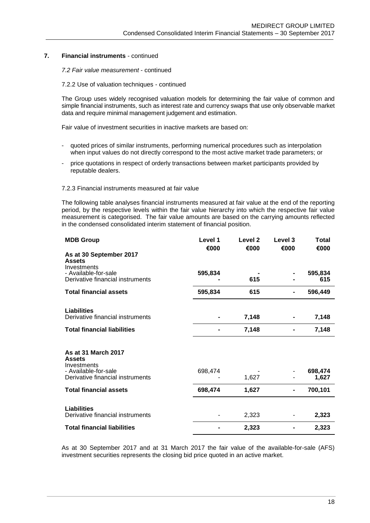#### *7.2 Fair value measurement* - continued

#### 7.2.2 Use of valuation techniques - continued

The Group uses widely recognised valuation models for determining the fair value of common and simple financial instruments, such as interest rate and currency swaps that use only observable market data and require minimal management judgement and estimation.

Fair value of investment securities in inactive markets are based on:

- quoted prices of similar instruments, performing numerical procedures such as interpolation when input values do not directly correspond to the most active market trade parameters; or
- price quotations in respect of orderly transactions between market participants provided by reputable dealers.

#### 7.2.3 Financial instruments measured at fair value

The following table analyses financial instruments measured at fair value at the end of the reporting period, by the respective levels within the fair value hierarchy into which the respective fair value measurement is categorised. The fair value amounts are based on the carrying amounts reflected in the condensed consolidated interim statement of financial position.

| <b>MDB Group</b>                                                                                                | Level 1<br>€000 | Level 2<br>€000 | Level 3<br>€000 | Total<br>€000    |
|-----------------------------------------------------------------------------------------------------------------|-----------------|-----------------|-----------------|------------------|
| As at 30 September 2017<br><b>Assets</b><br>Investments<br>- Available-for-sale                                 | 595,834         |                 |                 | 595,834          |
| Derivative financial instruments                                                                                |                 | 615             |                 | 615              |
| <b>Total financial assets</b>                                                                                   | 595,834         | 615             |                 | 596,449          |
| Liabilities<br>Derivative financial instruments                                                                 |                 | 7,148           |                 | 7,148            |
| <b>Total financial liabilities</b>                                                                              |                 | 7,148           |                 | 7,148            |
| As at 31 March 2017<br><b>Assets</b><br>Investments<br>- Available-for-sale<br>Derivative financial instruments | 698,474         | 1,627           |                 | 698,474<br>1,627 |
| <b>Total financial assets</b>                                                                                   | 698,474         | 1,627           |                 | 700,101          |
| Liabilities<br>Derivative financial instruments                                                                 |                 | 2,323           |                 | 2,323            |
| <b>Total financial liabilities</b>                                                                              |                 | 2,323           |                 | 2,323            |

As at 30 September 2017 and at 31 March 2017 the fair value of the available-for-sale (AFS) investment securities represents the closing bid price quoted in an active market.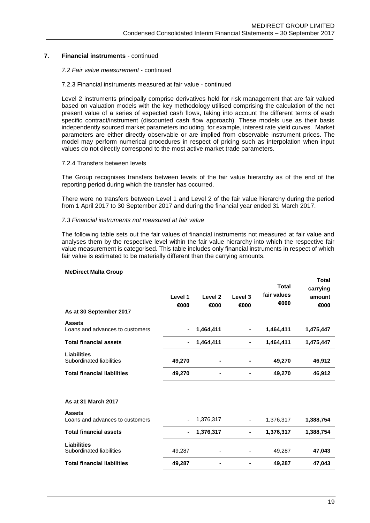## *7.2 Fair value measurement* - continued

#### 7.2.3 Financial instruments measured at fair value - continued

Level 2 instruments principally comprise derivatives held for risk management that are fair valued based on valuation models with the key methodology utilised comprising the calculation of the net present value of a series of expected cash flows, taking into account the different terms of each specific contract/instrument (discounted cash flow approach). These models use as their basis independently sourced market parameters including, for example, interest rate yield curves. Market parameters are either directly observable or are implied from observable instrument prices. The model may perform numerical procedures in respect of pricing such as interpolation when input values do not directly correspond to the most active market trade parameters.

## 7.2.4 Transfers between levels

The Group recognises transfers between levels of the fair value hierarchy as of the end of the reporting period during which the transfer has occurred.

There were no transfers between Level 1 and Level 2 of the fair value hierarchy during the period from 1 April 2017 to 30 September 2017 and during the financial year ended 31 March 2017.

#### *7.3 Financial instruments not measured at fair value*

The following table sets out the fair values of financial instruments not measured at fair value and analyses them by the respective level within the fair value hierarchy into which the respective fair value measurement is categorised. This table includes only financial instruments in respect of which fair value is estimated to be materially different than the carrying amounts.

#### **MeDirect Malta Group**

| As at 30 September 2017                                                 | Level 1<br>€000 | Level <sub>2</sub><br>€000 | Level <sub>3</sub><br>€000 | <b>Total</b><br>fair values<br>€000 | <b>Total</b><br>carrying<br>amount<br>€000 |
|-------------------------------------------------------------------------|-----------------|----------------------------|----------------------------|-------------------------------------|--------------------------------------------|
| <b>Assets</b><br>Loans and advances to customers                        |                 | 1,464,411                  |                            | 1,464,411                           | 1,475,447                                  |
| <b>Total financial assets</b>                                           |                 | 1,464,411                  |                            | 1,464,411                           | 1,475,447                                  |
| Liabilities<br>Subordinated liabilities                                 | 49,270          |                            |                            | 49,270                              | 46,912                                     |
| <b>Total financial liabilities</b>                                      | 49,270          |                            |                            | 49,270                              | 46,912                                     |
| As at 31 March 2017<br><b>Assets</b><br>Loans and advances to customers |                 | 1,376,317                  | -                          | 1,376,317                           | 1,388,754                                  |
| <b>Total financial assets</b>                                           | Ξ.              | 1,376,317                  | -                          | 1,376,317                           | 1,388,754                                  |
| <b>Liabilities</b><br>Subordinated liabilities                          | 49,287          |                            |                            | 49,287                              | 47,043                                     |
| <b>Total financial liabilities</b>                                      | 49,287          |                            |                            | 49,287                              | 47,043                                     |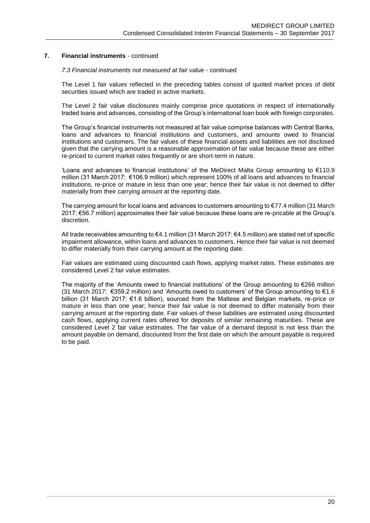## *7.3 Financial instruments not measured at fair value* - continued

The Level 1 fair values reflected in the preceding tables consist of quoted market prices of debt securities issued which are traded in active markets.

The Level 2 fair value disclosures mainly comprise price quotations in respect of internationally traded loans and advances, consisting of the Group's international loan book with foreign corporates.

The Group's financial instruments not measured at fair value comprise balances with Central Banks, loans and advances to financial institutions and customers, and amounts owed to financial institutions and customers. The fair values of these financial assets and liabilities are not disclosed given that the carrying amount is a reasonable approximation of fair value because these are either re-priced to current market rates frequently or are short-term in nature.

'Loans and advances to financial institutions' of the MeDirect Malta Group amounting to €110.9 million (31 March 2017: €106.9 million) which represent 100% of all loans and advances to financial institutions, re-price or mature in less than one year; hence their fair value is not deemed to differ materially from their carrying amount at the reporting date.

The carrying amount for local loans and advances to customers amounting to  $\epsilon$ 77.4 million (31 March 2017: €56.7 million) approximates their fair value because these loans are re-pricable at the Group's discretion.

All trade receivables amounting to €4.1 million (31 March 2017: €4.5 million) are stated net of specific impairment allowance, within loans and advances to customers. Hence their fair value is not deemed to differ materially from their carrying amount at the reporting date.

Fair values are estimated using discounted cash flows, applying market rates. These estimates are considered Level 2 fair value estimates.

The majority of the 'Amounts owed to financial institutions' of the Group amounting to €266 million (31 March 2017:  $\epsilon$ 359.2 million) and 'Amounts owed to customers' of the Group amounting to  $\epsilon$ 1.6 billion (31 March 2017: €1.6 billion), sourced from the Maltese and Belgian markets, re-price or mature in less than one year; hence their fair value is not deemed to differ materially from their carrying amount at the reporting date. Fair values of these liabilities are estimated using discounted cash flows, applying current rates offered for deposits of similar remaining maturities. These are considered Level 2 fair value estimates. The fair value of a demand deposit is not less than the amount payable on demand, discounted from the first date on which the amount payable is required to be paid.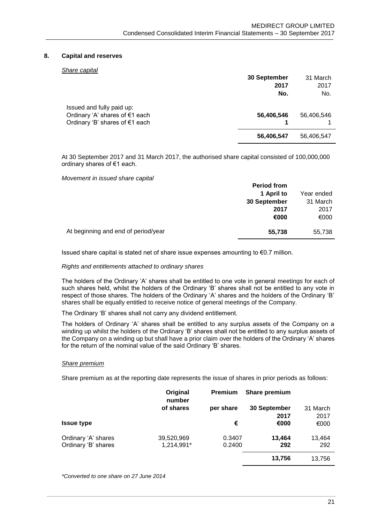## **8. Capital and reserves**

## *Share capital*

|                                          | 30 September | 31 March    |
|------------------------------------------|--------------|-------------|
|                                          | 2017<br>No.  | 2017<br>No. |
|                                          |              |             |
| Issued and fully paid up:                |              |             |
| Ordinary 'A' shares of €1 each           | 56,406,546   | 56,406,546  |
| Ordinary 'B' shares of $\epsilon$ 1 each |              |             |
|                                          | 56,406,547   | 56,406,547  |

At 30 September 2017 and 31 March 2017, the authorised share capital consisted of 100,000,000 ordinary shares of €1 each.

*Movement in issued share capital*

|                                     | <b>Period from</b> |            |
|-------------------------------------|--------------------|------------|
|                                     | 1 April to         | Year ended |
|                                     | 30 September       | 31 March   |
|                                     | 2017               | 2017       |
|                                     | €000               | €000       |
| At beginning and end of period/year | 55,738             | 55,738     |

Issued share capital is stated net of share issue expenses amounting to €0.7 million.

#### *Rights and entitlements attached to ordinary shares*

The holders of the Ordinary 'A' shares shall be entitled to one vote in general meetings for each of such shares held, whilst the holders of the Ordinary 'B' shares shall not be entitled to any vote in respect of those shares. The holders of the Ordinary 'A' shares and the holders of the Ordinary 'B' shares shall be equally entitled to receive notice of general meetings of the Company.

The Ordinary 'B' shares shall not carry any dividend entitlement.

The holders of Ordinary 'A' shares shall be entitled to any surplus assets of the Company on a winding up whilst the holders of the Ordinary 'B' shares shall not be entitled to any surplus assets of the Company on a winding up but shall have a prior claim over the holders of the Ordinary 'A' shares for the return of the nominal value of the said Ordinary 'B' shares.

#### *Share premium*

Share premium as at the reporting date represents the issue of shares in prior periods as follows:

|                                            | Original<br>number       | <b>Premium</b>   | Share premium |               |
|--------------------------------------------|--------------------------|------------------|---------------|---------------|
|                                            | of shares                | per share        | 30 September  | 31 March      |
|                                            |                          |                  | 2017          | 2017          |
| <b>Issue type</b>                          |                          | €                | €000          | €000          |
| Ordinary 'A' shares<br>Ordinary 'B' shares | 39,520,969<br>1,214,991* | 0.3407<br>0.2400 | 13,464<br>292 | 13,464<br>292 |
|                                            |                          |                  | 13,756        | 13,756        |

*\*Converted to one share on 27 June 2014*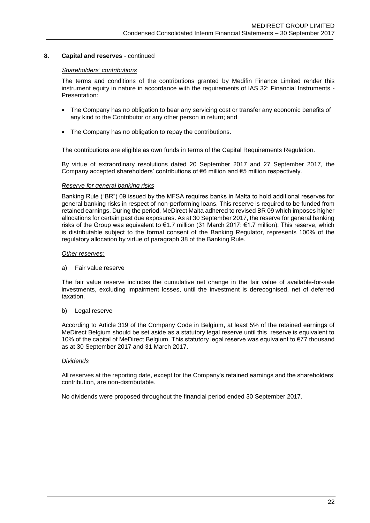## **8. Capital and reserves** - continued

## *Shareholders' contributions*

The terms and conditions of the contributions granted by Medifin Finance Limited render this instrument equity in nature in accordance with the requirements of IAS 32: Financial Instruments - Presentation:

- The Company has no obligation to bear any servicing cost or transfer any economic benefits of any kind to the Contributor or any other person in return; and
- The Company has no obligation to repay the contributions.

The contributions are eligible as own funds in terms of the Capital Requirements Regulation.

By virtue of extraordinary resolutions dated 20 September 2017 and 27 September 2017, the Company accepted shareholders' contributions of  $\epsilon$ 6 million and  $\epsilon$ 5 million respectively.

#### *Reserve for general banking risks*

Banking Rule ("BR") 09 issued by the MFSA requires banks in Malta to hold additional reserves for general banking risks in respect of non-performing loans. This reserve is required to be funded from retained earnings. During the period, MeDirect Malta adhered to revised BR 09 which imposes higher allocations for certain past due exposures. As at 30 September 2017, the reserve for general banking risks of the Group was equivalent to €1.7 million (31 March 2017: €1.7 million). This reserve, which is distributable subject to the formal consent of the Banking Regulator, represents 100% of the regulatory allocation by virtue of paragraph 38 of the Banking Rule.

#### *Other reserves:*

a) Fair value reserve

The fair value reserve includes the cumulative net change in the fair value of available-for-sale investments, excluding impairment losses, until the investment is derecognised, net of deferred taxation.

b) Legal reserve

According to Article 319 of the Company Code in Belgium, at least 5% of the retained earnings of MeDirect Belgium should be set aside as a statutory legal reserve until this reserve is equivalent to 10% of the capital of MeDirect Belgium. This statutory legal reserve was equivalent to €77 thousand as at 30 September 2017 and 31 March 2017.

## *Dividends*

All reserves at the reporting date, except for the Company's retained earnings and the shareholders' contribution, are non-distributable.

No dividends were proposed throughout the financial period ended 30 September 2017.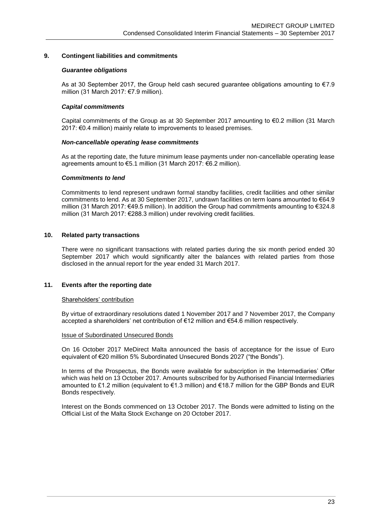## **9. Contingent liabilities and commitments**

## *Guarantee obligations*

As at 30 September 2017, the Group held cash secured guarantee obligations amounting to  $\epsilon$ 7.9 million (31 March 2017: €7.9 million).

## *Capital commitments*

Capital commitments of the Group as at 30 September 2017 amounting to €0.2 million (31 March 2017: €0.4 million) mainly relate to improvements to leased premises.

## *Non-cancellable operating lease commitments*

As at the reporting date, the future minimum lease payments under non-cancellable operating lease agreements amount to €5.1 million (31 March 2017: €6.2 million).

## *Commitments to lend*

Commitments to lend represent undrawn formal standby facilities, credit facilities and other similar commitments to lend. As at 30 September 2017, undrawn facilities on term loans amounted to €64.9 million (31 March 2017: €49.5 million). In addition the Group had commitments amounting to €324.8 million (31 March 2017: €288.3 million) under revolving credit facilities.

## **10. Related party transactions**

There were no significant transactions with related parties during the six month period ended 30 September 2017 which would significantly alter the balances with related parties from those disclosed in the annual report for the year ended 31 March 2017.

## **11. Events after the reporting date**

#### Shareholders' contribution

By virtue of extraordinary resolutions dated 1 November 2017 and 7 November 2017, the Company accepted a shareholders' net contribution of €12 million and €54.6 million respectively.

#### Issue of Subordinated Unsecured Bonds

On 16 October 2017 MeDirect Malta announced the basis of acceptance for the issue of Euro equivalent of €20 million 5% Subordinated Unsecured Bonds 2027 ("the Bonds").

In terms of the Prospectus, the Bonds were available for subscription in the Intermediaries' Offer which was held on 13 October 2017. Amounts subscribed for by Authorised Financial Intermediaries amounted to £1.2 million (equivalent to €1.3 million) and €18.7 million for the GBP Bonds and EUR Bonds respectively.

Interest on the Bonds commenced on 13 October 2017. The Bonds were admitted to listing on the Official List of the Malta Stock Exchange on 20 October 2017.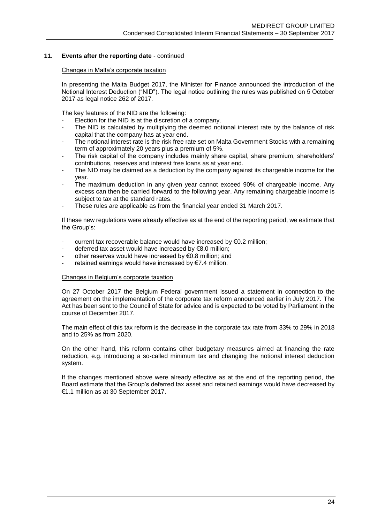## **11. Events after the reporting date** - continued

## Changes in Malta's corporate taxation

In presenting the Malta Budget 2017, the Minister for Finance announced the introduction of the Notional Interest Deduction ("NID"). The legal notice outlining the rules was published on 5 October 2017 as legal notice 262 of 2017.

The key features of the NID are the following:

- Election for the NID is at the discretion of a company.
- The NID is calculated by multiplying the deemed notional interest rate by the balance of risk capital that the company has at year end.
- The notional interest rate is the risk free rate set on Malta Government Stocks with a remaining term of approximately 20 years plus a premium of 5%.
- The risk capital of the company includes mainly share capital, share premium, shareholders' contributions, reserves and interest free loans as at year end.
- The NID may be claimed as a deduction by the company against its chargeable income for the year.
- The maximum deduction in any given year cannot exceed 90% of chargeable income. Any excess can then be carried forward to the following year. Any remaining chargeable income is subject to tax at the standard rates.
- These rules are applicable as from the financial year ended 31 March 2017.

If these new regulations were already effective as at the end of the reporting period, we estimate that the Group's:

- current tax recoverable balance would have increased by  $\epsilon$ 0.2 million;
- deferred tax asset would have increased by  $€8.0$  million;
- other reserves would have increased by  $\epsilon$ 0.8 million; and
- retained earnings would have increased by  $E$ 7.4 million.

#### Changes in Belgium's corporate taxation

On 27 October 2017 the Belgium Federal government issued a statement in connection to the agreement on the implementation of the corporate tax reform announced earlier in July 2017. The Act has been sent to the Council of State for advice and is expected to be voted by Parliament in the course of December 2017.

The main effect of this tax reform is the decrease in the corporate tax rate from 33% to 29% in 2018 and to 25% as from 2020.

On the other hand, this reform contains other budgetary measures aimed at financing the rate reduction, e.g. introducing a so-called minimum tax and changing the notional interest deduction system.

If the changes mentioned above were already effective as at the end of the reporting period, the Board estimate that the Group's deferred tax asset and retained earnings would have decreased by €1.1 million as at 30 September 2017.